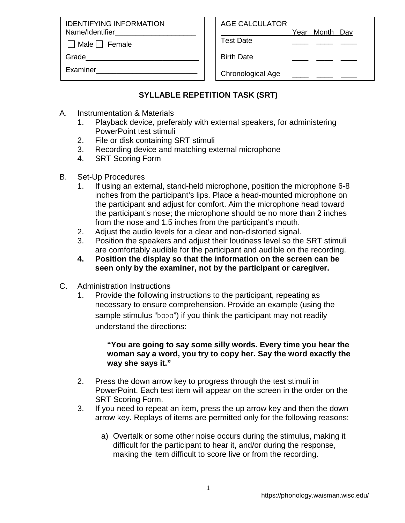IDENTIFYING INFORMATION Name/Identifier

 $\Box$  Male  $\Box$  Female

Grade

Examiner\_\_\_\_\_\_\_\_\_\_\_\_\_\_\_\_\_\_\_\_\_\_\_\_\_

Year Month Day

Test Date \_\_\_\_ \_\_\_\_ \_\_\_\_

Birth Date

Chronological Age

## **SYLLABLE REPETITION TASK (SRT)**

- A. Instrumentation & Materials
	- 1. Playback device, preferably with external speakers, for administering PowerPoint test stimuli
	- 2. File or disk containing SRT stimuli
	- 3. Recording device and matching external microphone
	- 4. SRT Scoring Form
- B. Set-Up Procedures
	- 1. If using an external, stand-held microphone, position the microphone 6-8 inches from the participant's lips. Place a head-mounted microphone on the participant and adjust for comfort. Aim the microphone head toward the participant's nose; the microphone should be no more than 2 inches from the nose and 1.5 inches from the participant's mouth.
	- 2. Adjust the audio levels for a clear and non-distorted signal.
	- 3. Position the speakers and adjust their loudness level so the SRT stimuli are comfortably audible for the participant and audible on the recording.
	- **4. Position the display so that the information on the screen can be seen only by the examiner, not by the participant or caregiver.**
- C. Administration Instructions
	- 1. Provide the following instructions to the participant, repeating as necessary to ensure comprehension. Provide an example (using the sample stimulus "baba") if you think the participant may not readily understand the directions:

## **"You are going to say some silly words. Every time you hear the woman say a word, you try to copy her. Say the word exactly the way she says it."**

- 2. Press the down arrow key to progress through the test stimuli in PowerPoint. Each test item will appear on the screen in the order on the SRT Scoring Form.
- 3. If you need to repeat an item, press the up arrow key and then the down arrow key. Replays of items are permitted only for the following reasons:
	- a) Overtalk or some other noise occurs during the stimulus, making it difficult for the participant to hear it, and/or during the response, making the item difficult to score live or from the recording.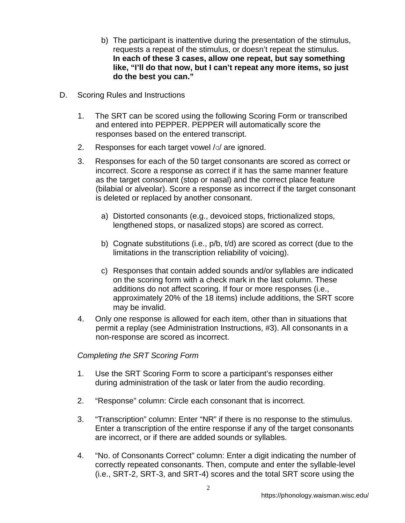- b) The participant is inattentive during the presentation of the stimulus, requests a repeat of the stimulus, or doesn't repeat the stimulus. **In each of these 3 cases, allow one repeat, but say something like, "I'll do that now, but I can't repeat any more items, so just do the best you can."**
- D. Scoring Rules and Instructions
	- 1. The SRT can be scored using the following Scoring Form or transcribed and entered into PEPPER. PEPPER will automatically score the responses based on the entered transcript.
	- 2. Responses for each target vowel  $/a$  are ignored.
	- 3. Responses for each of the 50 target consonants are scored as correct or incorrect. Score a response as correct if it has the same manner feature as the target consonant (stop or nasal) and the correct place feature (bilabial or alveolar). Score a response as incorrect if the target consonant is deleted or replaced by another consonant.
		- a) Distorted consonants (e.g., devoiced stops, frictionalized stops, lengthened stops, or nasalized stops) are scored as correct.
		- b) Cognate substitutions (i.e., p/b, t/d) are scored as correct (due to the limitations in the transcription reliability of voicing).
		- c) Responses that contain added sounds and/or syllables are indicated on the scoring form with a check mark in the last column. These additions do not affect scoring. If four or more responses (i.e., approximately 20% of the 18 items) include additions, the SRT score may be invalid.
	- 4. Only one response is allowed for each item, other than in situations that permit a replay (see Administration Instructions, #3). All consonants in a non-response are scored as incorrect.

*Completing the SRT Scoring Form*

- 1. Use the SRT Scoring Form to score a participant's responses either during administration of the task or later from the audio recording.
- 2. "Response" column: Circle each consonant that is incorrect.
- 3. "Transcription" column: Enter "NR" if there is no response to the stimulus. Enter a transcription of the entire response if any of the target consonants are incorrect, or if there are added sounds or syllables.
- 4. "No. of Consonants Correct" column: Enter a digit indicating the number of correctly repeated consonants. Then, compute and enter the syllable-level (i.e., SRT-2, SRT-3, and SRT-4) scores and the total SRT score using the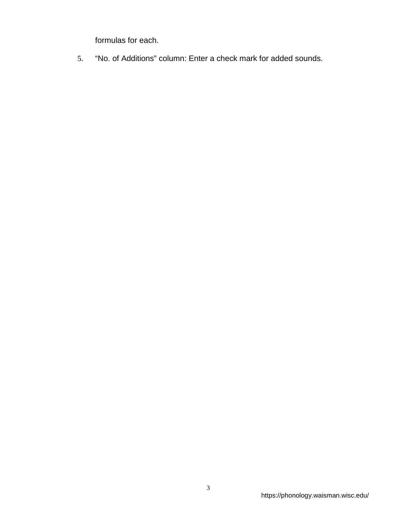formulas for each.

5. "No. of Additions" column: Enter a check mark for added sounds.